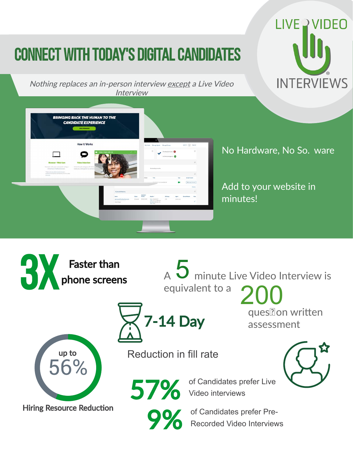# Connect with Today's Digital Candidates



Nothing replaces an in-person interview except a Live Video Interview



No Hardware, No So. ware

Add to your website in minutes!

 $\overline{A}$  minute Live Video Interview is equivalent to a 200

ques? on written assessment



**3X** Faster than<br>phone screen

phone screens

**Hiring Resource Reduction** 

Reduction in fill rate

7-14 Day



57% of Candidates prefer Live<br>Video interviews Video interviews

O of Candidates prefer Pre-<br>Recorded Video Interview Recorded Video Interviews

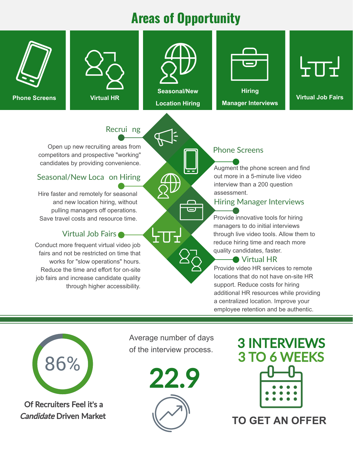## **Areas of Opportunity**



**Phone Screens**





**Location Hiring**



**Hiring**

**Manager Interviews**



**Virtual HR Virtual Job Fairs**

### Recrui ng

Open up new recruiting areas from competitors and prospective "working" candidates by providing convenience.

### Seasonal/New Loca on Hiring

Hire faster and remotely for seasonal and new location hiring, without pulling managers off operations. Save travel costs and resource time.

#### Virtual Job Fairs

Conduct more frequent virtual video job fairs and not be restricted on time that works for "slow operations" hours. Reduce the time and effort for on-site job fairs and increase candidate quality through higher accessibility.

### Phone Screens

Augment the phone screen and find out more in a 5-minute live video interview than a 200 question assessment.

### Hiring Manager Interviews

Provide innovative tools for hiring managers to do initial interviews through live video tools. Allow them to reduce hiring time and reach more quality candidates, faster.

#### **● Virtual HR**

Provide video HR services to remote locations that do not have on-site HR support. Reduce costs for hiring additional HR resources while providing a centralized location. Improve your employee retention and be authentic.



Of Recruiters Feel it's a Candidate Driven Market Average number of days

ᡶ┰┚





**TO GET AN OFFER**